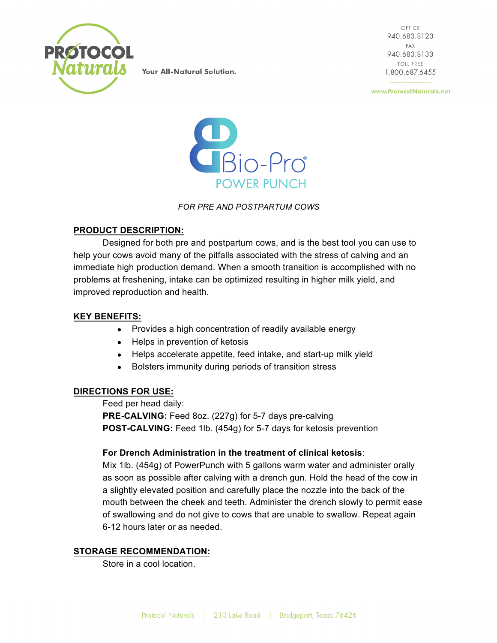

OFFICE 940.683.8123 FAX 940.683.8133 **TOLL FREE** 1.800.687.6455

www.ProtocolNaturals.net



*FOR PRE AND POSTPARTUM COWS*

### **PRODUCT DESCRIPTION:**

Designed for both pre and postpartum cows, and is the best tool you can use to help your cows avoid many of the pitfalls associated with the stress of calving and an immediate high production demand. When a smooth transition is accomplished with no problems at freshening, intake can be optimized resulting in higher milk yield, and improved reproduction and health.

## **KEY BENEFITS:**

- Provides a high concentration of readily available energy
- Helps in prevention of ketosis
- Helps accelerate appetite, feed intake, and start-up milk yield
- Bolsters immunity during periods of transition stress

### **DIRECTIONS FOR USE:**

Feed per head daily: **PRE-CALVING:** Feed 8oz. (227g) for 5-7 days pre-calving **POST-CALVING:** Feed 1lb. (454g) for 5-7 days for ketosis prevention

### **For Drench Administration in the treatment of clinical ketosis**:

Mix 1lb. (454g) of PowerPunch with 5 gallons warm water and administer orally as soon as possible after calving with a drench gun. Hold the head of the cow in a slightly elevated position and carefully place the nozzle into the back of the mouth between the cheek and teeth. Administer the drench slowly to permit ease of swallowing and do not give to cows that are unable to swallow. Repeat again 6-12 hours later or as needed.

### **STORAGE RECOMMENDATION:**

Store in a cool location.